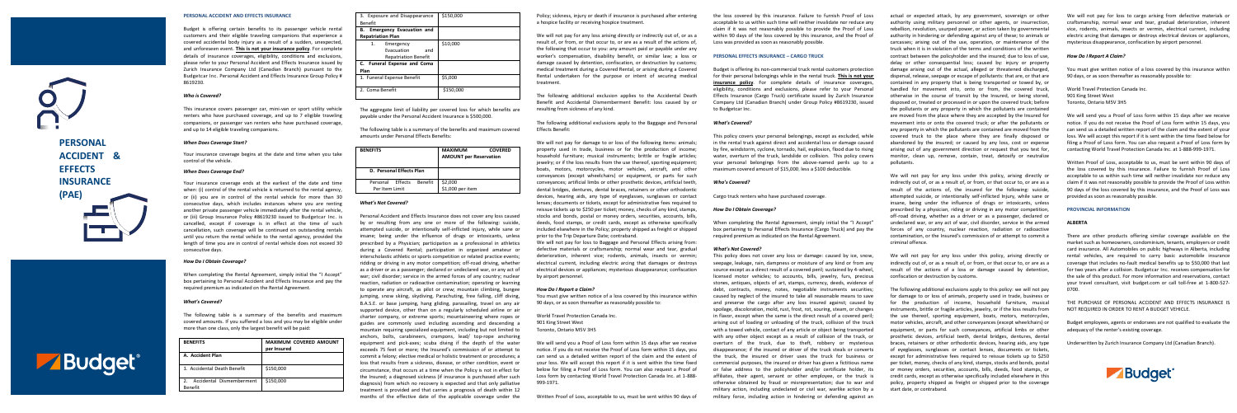**PERSONAL** 

**ACCIDENT & EFFECTS INSURANCE (PAE)**

# **PERSONAL ACCIDENT AND EFFECTS INSURANCE**

Budget is offering certain benefits to its passenger vehicle rental customers and their eligible traveling companions that experience a covered accidental body injury as a result of a sudden, unexpected, and unforeseen event. **This is not your insurance policy**. For complete details of insurance coverages, eligibility, conditions and exclusions, please refer to your Personal Accident and Effects Insurance issued by Zurich Insurance Company Ltd (Canadian Branch) pursuant to the Budgetcar Inc. Personal Accident and Effects Insurance Group Policy # 8619230.

# *Who is Covered?*

This insurance covers passenger car, mini-van or sport utility vehicle renters who have purchased coverage, and up to 7 eligible traveling companions, or passenger van renters who have purchased coverage, and up to 14 eligible traveling companions.

# *When Does Coverage Start?*

Your insurance coverage begins at the date and time when you take control of the vehicle.

# *When Does Coverage End?*

Your insurance coverage ends at the earliest of the date and time when: (i) control of the rental vehicle is returned to the rental agency, or (ii) you are in control of the rental vehicle for more than 30 consecutive days, which includes instances where you are renting another private passenger vehicle immediately after the rental vehicle, or (iii) Group Insurance Policy #8619230 issued to Budgetcar Inc. is cancelled, except if coverage is in effect at the time of such cancellation, such coverage will be continued on outstanding rentals until you return the rental vehicle to the rental agency, provided the length of time you are in control of rental vehicle does not exceed 30 consecutive days.

# *How Do I Obtain Coverage?*

When completing the Rental Agreement, simply initial the "I Accept" box pertaining to Personal Accident and Effects Insurance and pay the required premium as indicated on the Rental Agreement.

# *What's Covered?*

The following table is a summary of the benefits and maximum covered amounts. If you suffered a loss and you may be eligible under more than one class, only the largest benefit will be paid:

| <b>BENEFITS</b>                     | <b>MAXIMUM COVERED AMOUNT</b><br>per Insured |
|-------------------------------------|----------------------------------------------|
| <b>A. Accident Plan</b>             |                                              |
| 1. Accidental Death Benefit         | \$150,000                                    |
| Accidental Dismemberment<br>Benefit | \$150,000                                    |

| 3. Exposure and Disappearance<br>Benefit                            | \$150,000 |
|---------------------------------------------------------------------|-----------|
| <b>Emergency Evacuation and</b><br>в.<br><b>Repatriation Plan</b>   |           |
| Emergency<br>1.<br>Evacuation<br>and<br><b>Repatriation Benefit</b> | \$10,000  |
| C. Funeral Expense and Coma<br>Plan                                 |           |
| 1. Funeral Expense Benefit                                          | \$5,000   |
| 2. Coma Benefit                                                     | \$150,000 |

**1.150,000** 

The aggregate limit of liability per covered loss for which benefits are payable under the Personal Accident Insurance is \$500,000.

The following table is a summary of the benefits and maximum covered amounts under Personal Effects Benefits:

We will not pay for any loss arising directly or indirectly out of, or as a result of, or from, or that occur to, or are as a result of the actions of, the following that occur to you: any amount paid or payable under any worker's compensation, disability benefit, or similar law; a loss or damage caused by detention, confiscation, or destruction by customs; medical treatment during a Covered Rental, or arising during a Covered Rental undertaken for the purpose or intent of securing medical treatment.

| <b>BENEFITS</b>                               | <b>MAXIMUM</b><br><b>COVERED</b><br><b>AMOUNT per Reservation</b> |
|-----------------------------------------------|-------------------------------------------------------------------|
| D. Personal Effects Plan                      |                                                                   |
| Personal Effects<br>Benefit<br>Per Item Limit | \$2,000<br>\$1,000 per item                                       |

# *What's Not Covered?*

Personal Accident and Effects Insurance does not cover any loss caused by or resulting from any one or more of the following: suicide, attempted suicide, or intentionally self-inflicted injury, while sane or insane; being under the influence of drugs or intoxicants, unless prescribed by a Physician; participation as a professional in athletics during a Covered Rental; participation in organized amateur or interscholastic athletic or sports competition or related practice events; ridding or driving in any motor competition; off-road driving, whether as a driver or as a passenger; declared or undeclared war, or any act of war; civil disorder; service in the armed forces of any country; nuclear reaction, radiation or radioactive contamination; operating or learning to operate any aircraft, as pilot or crew; mountain climbing, bungee jumping, snow skiing, skydiving, Parachuting, free falling, cliff diving, B.A.S.E. or base jumping, hang gliding, parasailing, travel on any air supported device, other than on a regularly scheduled airline or air charter company, or extreme sports; mountaineering where ropes or guides are commonly used including ascending and descending a mountain requiring specialized equipment, including but not limited to anchors, bolts, carabineers, crampons, lead/ top-rope anchoring equipment and pick-axes; scuba diving if the depth of the water exceeds 75 feet or more; the Insured's commission of or attempt to commit a felony; elective medical or holistic treatment or procedures; a loss that results from a sickness, disease, or other condition, event or circumstance, that occurs at a time when the Policy is not in effect for the Insured; a diagnosed sickness (if insurance is purchased after such diagnosis) from which no recovery is expected and that only palliative treatment is provided and that carries a prognosis of death within 12 months of the effective date of the applicable coverage under the

Policy; sickness, injury or death if insurance is purchased after entering a hospice facility or receiving hospice treatment.

The following additional exclusion applies to the Accidental Death Benefit and Accidental Dismemberment Benefit: loss caused by or resulting from sickness of any kind.

The following additional exclusions apply to the Baggage and Personal Effects Benefit:

We will not pay for damage to or loss of the following items: animals; property used in trade, business or for the production of income; household furniture; musical instruments; brittle or fragile articles; jewelry; or if the loss results from the use thereof, sporting equipment; boats, motors, motorcycles, motor vehicles, aircraft, and other conveyances (except wheelchairs) or equipment, or parts for such conveyances; artificial limbs or other prosthetic devices, artificial teeth, dental bridges, dentures, dental braces, retainers or other orthodontic devices, hearing aids, any type of eyeglasses, sunglasses or contact lenses; documents or tickets, except for administrative fees required to reissue tickets up to \$250 per ticket; money, checks of any kind, stamps, stocks and bonds, postal or money orders, securities, accounts, bills, deeds, food stamps, or credit cards, except as otherwise specifically included elsewhere in the Policy; property shipped as freight or shipped prior to the Trip Departure Date; contraband.

> We will not pay for any loss under this policy, arising directly or indirectly out of, or as a result of, or from, or that occur to, or are as a result of the actions of a loss or damage caused by detention, confiscation or destruction by customs.

We will not pay for loss to Baggage and Personal Effects arising from: defective materials or craftsmanship; normal wear and tear, gradual deterioration, inherent vice; rodents, animals, insects or vermin; electrical current, including electric arcing that damages or destroys electrical devices or appliances; mysterious disappearance; confiscation by airport personnel.

# *How Do I Report a Claim?*

You must give written notice of a loss covered by this insurance within 90 days, or as soon thereafter as reasonably possible to:

World Travel Protection Canada Inc. 901 King Street West Toronto, Ontario M5V 3H5

We will send you a Proof of Loss form within 15 days after we receive notice. If you do not receive the Proof of Loss form within 15 days, you can send us a detailed written report of the claim and the extent of your loss. We will accept this report if it is sent within the time fixed below for filing a Proof of Loss form. You can also request a Proof of Loss form by contacting World Travel Protection Canada Inc. at 1-888- 999-1971.

Written Proof of Loss, acceptable to us, must be sent within 90 days of



the loss covered by this insurance. Failure to furnish Proof of Loss acceptable to us within such time will neither invalidate nor reduce any claim if it was not reasonably possible to provide the Proof of Loss within 90 days of the loss covered by this insurance, and the Proof of Loss was provided as soon as reasonably possible.

# **PERSONAL EFFECTS INSURANCE – CARGO TRUCK**

Budget is offering its non-commercial truck rental customers protection for their personal belongings while in the rental truck. **This is not your insurance policy**. For complete details of insurance coverages, eligibility, conditions and exclusions, please refer to your Personal Effects Insurance (Cargo Truck) certificate issued by Zurich Insurance Company Ltd (Canadian Branch) under Group Policy #8619230, issued to Budgetcar Inc.

# *What's Covered?*

This policy covers your personal belongings, except as excluded, while in the rental truck against direct and accidental loss or damage caused by fire, windstorm, cyclone, tornado, hail, explosion, flood due to rising water, overturn of the truck, landslide or collision. This policy covers your personal belongings from the above-named perils up to a maximum covered amount of \$15,000, less a \$100 deductible.

## *Who's Covered?*

Cargo truck renters who have purchased coverage.

## *How Do I Obtain Coverage?*

When completing the Rental Agreement, simply initial the "I Accept" box pertaining to Personal Effects Insurance (Cargo Truck) and pay the required premium as indicated on the Rental Agreement.

### *What's Not Covered?*

This policy does not cover any loss or damage: caused by ice, snow, seepage, leakage, rain, dampness or moisture of any kind or from any source except as a direct result of a covered peril; sustained by 4-wheel, licensed motor vehicles; to accounts, bills, jewelry, furs, precious stones, antiques, objects of art, stamps, currency, deeds, evidence of debt, contracts, money, notes, negotiable instruments securities; caused by neglect of the insured to take all reasonable means to save and preserve the cargo after any loss insured against; caused by spoilage, discoloration, mold, rust, frost, rot, souring, steam, or changes in flavor, except when the same is the direct result of a covered peril; arising out of loading or unloading of the truck, collision of the truck with a towed vehicle, contact of any article or object being transported with any other object except as a result of collision of the truck, or overturn of the truck, due to theft, robbery or mysterious disappearance; if the insured or driver of the truck steals or converts the truck, the insured or driver uses the truck for business or commercial purposes, the insured or driver has given a fictitious name or false address to the policyholder and/or certificate holder, its affiliates, their agent, servant or other employee, or the truck is otherwise obtained by fraud or misrepresentation; due to war and military action, including undeclared or civil war, warlike action by a military force, including action in hindering or defending against an actual or expected attack, by any government, sovereign or other authority using military personnel or other agents, or insurrection, rebellion, revolution, usurped power, or action taken by governmental authority in hindering or defending against any of these; to animals or carcasses; arising out of the use, operation, or maintenance of the truck when it is in violation of the terms and conditions of the written contract between the policyholder and the insured; due to loss of use, delay or other consequential loss; caused by: injury or property damage arising out of the actual, alleged or threatened discharged, dispersal, release, seepage or escape of pollutants: that are, or that are contained in any property that is being transported or towed by, or handled for movement into, onto or from, the covered truck, otherwise in the course of transit by the Insured, or being stored, disposed or, treated or processed in or upon the covered truck; before the pollutants or any property in which the pollutants are contained are moved from the place where they are accepted by the Insured for movement into or onto the covered truck; or after the pollutants or any property in which the pollutants are contained are moved from the covered truck to the place where they are finally disposed or abandoned by the insured; or caused by any loss, cost or expense arising out of any government direction or request that you test for, monitor, clean up, remove, contain, treat, detoxify or neutralize pollutants.

We will not pay for any loss under this policy, arising directly or indirectly out of, or as a result of, or from, or that occur to, or are as a result of the actions of, the insured for the following: suicide, attempted suicide, or intentionally self-inflicted Injury, while sane or insane, being under the influence of drugs or intoxicants, unless prescribed by a physician, riding or driving in any motor competition, off-road driving, whether as a driver or as a passenger, declared or undeclared war, or any act of war, civil disorder, service in the armed forces of any country, nuclear reaction, radiation or radioactive contamination, or the Insured's commission of or attempt to commit a criminal offence.

The following additional exclusions apply to this policy: we will not pay for damage to or loss of animals, property used in trade, business or for the production of income, household furniture, musical instruments, brittle or fragile articles, jewelry, or if the loss results from the use thereof, sporting equipment, boats, motors, motorcycles, motor vehicles, aircraft, and other conveyances (except wheelchairs) or equipment, or parts for such conveyances, artificial limbs or other prosthetic devices, artificial teeth, dental bridges, dentures, dental braces, retainers or other orthodontic devices, hearing aids, any type of eyeglasses, sunglasses or contact lenses, documents or tickets, except for administrative fees required to reissue tickets up to \$250 per ticket, money, checks of any kind, stamps, stocks and bonds, postal or money orders, securities, accounts, bills, deeds, food stamps, or credit cards, except as otherwise specifically included elsewhere in this policy, property shipped as freight or shipped prior to the coverage start date, or contraband.

We will not pay for loss to cargo arising from defective materials or craftsmanship, normal wear and tear, gradual deterioration, inherent vice, rodents, animals, insects or vermin, electrical current, including electric arcing that damages or destroys electrical devices or appliances, mysterious disappearance, confiscation by airport personnel.

### *How Do I Report A Claim?*

You must give written notice of a loss covered by this insurance within 90 days, or as soon thereafter as reasonably possible to:

World Travel Protection Canada Inc. 901 King Street West Toronto, Ontario M5V 3H5

We will send you a Proof of Loss form within 15 days after we receive notice. If you do not receive the Proof of Loss form within 15 days, you can send us a detailed written report of the claim and the extent of your loss. We will accept this report if it is sent within the time fixed below for filing a Proof of Loss form. You can also request a Proof of Loss form by contacting World Travel Protection Canada Inc. at 1-888-999-1971.

Written Proof of Loss, acceptable to us, must be sent within 90 days of the loss covered by this insurance. Failure to furnish Proof of Loss acceptable to us within such time will neither invalidate nor reduce any claim if it was not reasonably possible to provide the Proof of Loss within 90 days of the loss covered by this insurance, and the Proof of Loss was provided as soon as reasonably possible.

# **PROVINCIAL INFORMATION**

## **ALBERTA**

There are other products offering similar coverage available on the market such as homeowners, condominium, tenants, employers or credit card insurance. All Automobiles on public highways in Alberta, including rental vehicles, are required to carry basic automobile insurance coverage that includes no-fault medical benefits up to \$50,000 that last for two years after a collision. Budgetcar Inc. receives compensation for the sale of this product. For more information and reservations, contact your travel consultant, visit budget.com or call toll-free at 1-800-527- 0700.

THE PURCHASE OF PERSONAL ACCIDENT AND EFFECTS INSURANCE IS NOT REQUIRED IN ORDER TO RENT A BUDGET VEHICLE.

Budget employees, agents or endorsees are not qualified to evaluate the adequacy of the renter's existing coverage.

Underwritten by Zurich Insurance Company Ltd (Canadian Branch).